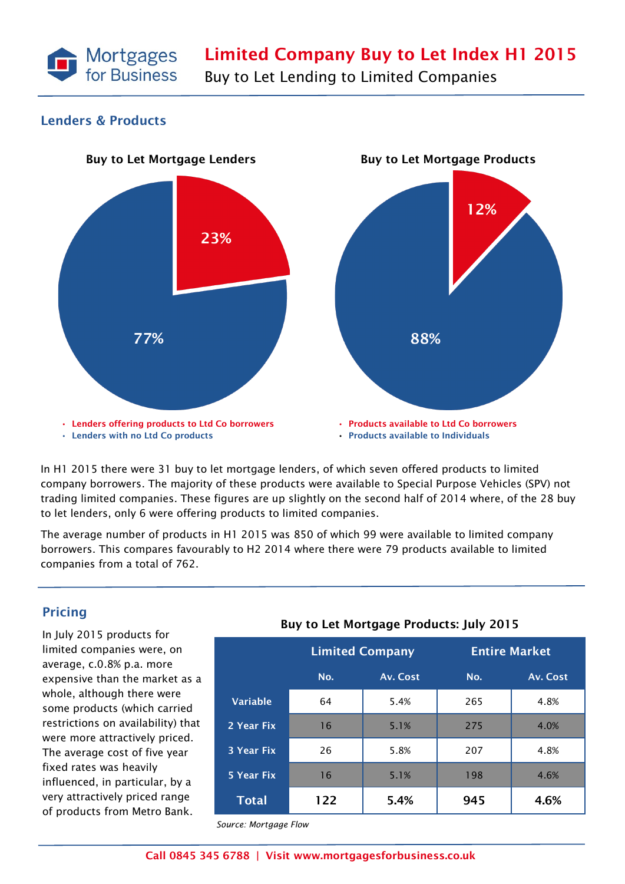

#### **Lenders & Products**



In H1 2015 there were 31 buy to let mortgage lenders, of which seven offered products to limited company borrowers. The majority of these products were available to Special Purpose Vehicles (SPV) not trading limited companies. These figures are up slightly on the second half of 2014 where, of the 28 buy to let lenders, only 6 were offering products to limited companies.

The average number of products in H1 2015 was 850 of which 99 were available to limited company borrowers. This compares favourably to H2 2014 where there were 79 products available to limited companies from a total of 762.

## **Pricing**

In July 2015 products for limited companies were, on average, c.0.8% p.a. more expensive than the market as a whole, although there were some products (which carried restrictions on availability) that were more attractively priced. The average cost of five year fixed rates was heavily influenced, in particular, by a very attractively priced range of products from Metro Bank.

# **Buy to Let Mortgage Products: July 2015**

|                   | <b>Limited Company</b> |          | <b>Entire Market</b> |          |
|-------------------|------------------------|----------|----------------------|----------|
|                   | No.                    | Av. Cost | No.                  | Av. Cost |
| <b>Variable</b>   | 64                     | 5.4%     | 265                  | 4.8%     |
| 2 Year Fix        | 16                     | 5.1%     | 275                  | 4.0%     |
| <b>3 Year Fix</b> | 26                     | 5.8%     | 207                  | 4.8%     |
| 5 Year Fix        | 16                     | 5.1%     | 198                  | 4.6%     |
| <b>Total</b>      | 122                    | 5.4%     | 945                  | 4.6%     |

*Source: Mortgage Flow*